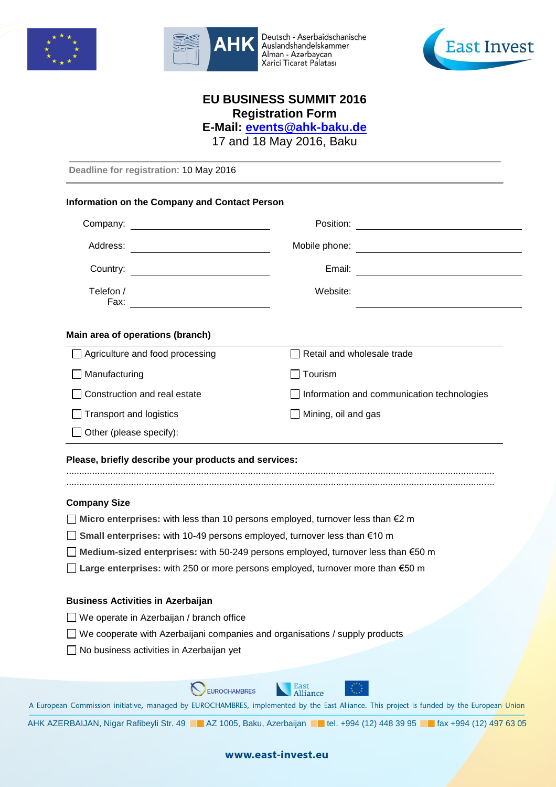



Deutsch - Aserbaidschanische<br>Auslandshandelskammer Alman - Azərbaycan Xarici Ticarət Palatası



# **EU BUSINESS SUMMIT 2016 Registration Form**

**E-Mail: [events@ahk-baku.de](mailto:events@ahk-baku.de)**

17 and 18 May 2016, Baku

**Deadline for registration**: 10 May 2016

### **Information on the Company and Contact Person**

| Company:                               | Position:                                         |  |  |
|----------------------------------------|---------------------------------------------------|--|--|
| Address:                               | Mobile phone:                                     |  |  |
| Country:                               | Email:                                            |  |  |
| Telefon /<br>Fax:                      | Website:                                          |  |  |
| Main area of operations (branch)       |                                                   |  |  |
| $\Box$ Agriculture and food processing | Retail and wholesale trade                        |  |  |
| $\Box$ Manufacturing                   | Tourism                                           |  |  |
| Construction and real estate           | $\Box$ Information and communication technologies |  |  |
| <b>Transport and logistics</b>         | Mining, oil and gas                               |  |  |
| Other (please specify):                |                                                   |  |  |

#### **Please, briefly describe your products and services:**

..................................................................................................................................................................... .....................................................................................................................................................................

## **Company Size**

- **Micro enterprises:** with less than 10 persons employed, turnover less than €2 m
- **Small enterprises:** with 10-49 persons employed, turnover less than €10 m
- **Medium-sized enterprises:** with 50-249 persons employed, turnover less than €50 m
- **Large enterprises:** with 250 or more persons employed, turnover more than €50 m

#### **Business Activities in Azerbaijan**

- □ We operate in Azerbaijan / branch office
- □ We cooperate with Azerbaijani companies and organisations / supply products
- $\Box$  No business activities in Azerbaijan yet

**East**<br>Alliance EUROCHAMBRES

A European Commission initiative, managed by EUROCHAMBRES, implemented by the East Alliance. This project is funded by the European Union

AHK AZERBAIJAN, Nigar Rafibeyli Str. 49 | AZ 1005, Baku, Azerbaijan | tel. +994 (12) 448 39 95 | fax +994 (12) 497 63 05

www.east-invest.eu